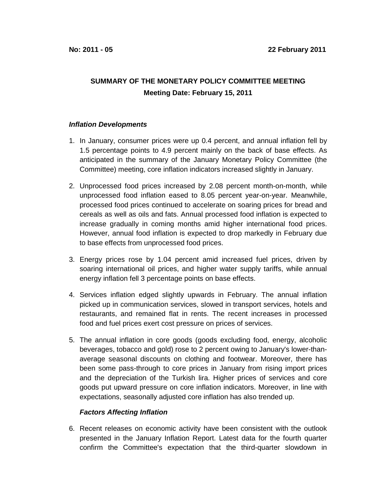## **SUMMARY OF THE MONETARY POLICY COMMITTEE MEETING Meeting Date: February 15, 2011**

## **Inflation Developments**

- 1. In January, consumer prices were up 0.4 percent, and annual inflation fell by 1.5 percentage points to 4.9 percent mainly on the back of base effects. As anticipated in the summary of the January Monetary Policy Committee (the Committee) meeting, core inflation indicators increased slightly in January.
- 2. Unprocessed food prices increased by 2.08 percent month-on-month, while unprocessed food inflation eased to 8.05 percent year-on-year. Meanwhile, processed food prices continued to accelerate on soaring prices for bread and cereals as well as oils and fats. Annual processed food inflation is expected to increase gradually in coming months amid higher international food prices. However, annual food inflation is expected to drop markedly in February due to base effects from unprocessed food prices.
- 3. Energy prices rose by 1.04 percent amid increased fuel prices, driven by soaring international oil prices, and higher water supply tariffs, while annual energy inflation fell 3 percentage points on base effects.
- 4. Services inflation edged slightly upwards in February. The annual inflation picked up in communication services, slowed in transport services, hotels and restaurants, and remained flat in rents. The recent increases in processed food and fuel prices exert cost pressure on prices of services.
- 5. The annual inflation in core goods (goods excluding food, energy, alcoholic beverages, tobacco and gold) rose to 2 percent owing to January's lower-thanaverage seasonal discounts on clothing and footwear. Moreover, there has been some pass-through to core prices in January from rising import prices and the depreciation of the Turkish lira. Higher prices of services and core goods put upward pressure on core inflation indicators. Moreover, in line with expectations, seasonally adjusted core inflation has also trended up.

## **Factors Affecting Inflation**

6. Recent releases on economic activity have been consistent with the outlook presented in the January Inflation Report. Latest data for the fourth quarter confirm the Committee's expectation that the third-quarter slowdown in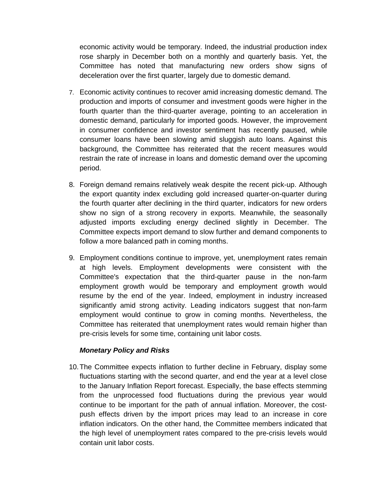economic activity would be temporary. Indeed, the industrial production index rose sharply in December both on a monthly and quarterly basis. Yet, the Committee has noted that manufacturing new orders show signs of deceleration over the first quarter, largely due to domestic demand.

- 7. Economic activity continues to recover amid increasing domestic demand. The production and imports of consumer and investment goods were higher in the fourth quarter than the third-quarter average, pointing to an acceleration in domestic demand, particularly for imported goods. However, the improvement in consumer confidence and investor sentiment has recently paused, while consumer loans have been slowing amid sluggish auto loans. Against this background, the Committee has reiterated that the recent measures would restrain the rate of increase in loans and domestic demand over the upcoming period.
- 8. Foreign demand remains relatively weak despite the recent pick-up. Although the export quantity index excluding gold increased quarter-on-quarter during the fourth quarter after declining in the third quarter, indicators for new orders show no sign of a strong recovery in exports. Meanwhile, the seasonally adjusted imports excluding energy declined slightly in December. The Committee expects import demand to slow further and demand components to follow a more balanced path in coming months.
- 9. Employment conditions continue to improve, yet, unemployment rates remain at high levels. Employment developments were consistent with the Committee's expectation that the third-quarter pause in the non-farm employment growth would be temporary and employment growth would resume by the end of the year. Indeed, employment in industry increased significantly amid strong activity. Leading indicators suggest that non-farm employment would continue to grow in coming months. Nevertheless, the Committee has reiterated that unemployment rates would remain higher than pre-crisis levels for some time, containing unit labor costs.

## **Monetary Policy and Risks**

10. The Committee expects inflation to further decline in February, display some fluctuations starting with the second quarter, and end the year at a level close to the January Inflation Report forecast. Especially, the base effects stemming from the unprocessed food fluctuations during the previous year would continue to be important for the path of annual inflation. Moreover, the costpush effects driven by the import prices may lead to an increase in core inflation indicators. On the other hand, the Committee members indicated that the high level of unemployment rates compared to the pre-crisis levels would contain unit labor costs.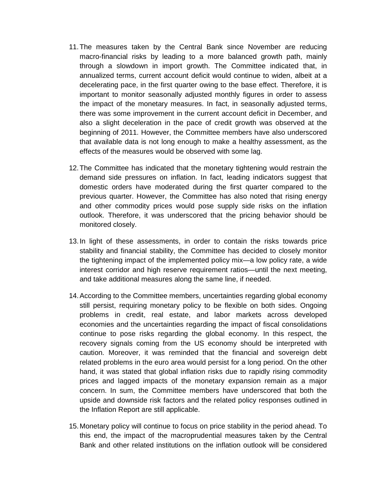- 11. The measures taken by the Central Bank since November are reducing macro-financial risks by leading to a more balanced growth path, mainly through a slowdown in import growth. The Committee indicated that, in annualized terms, current account deficit would continue to widen, albeit at a decelerating pace, in the first quarter owing to the base effect. Therefore, it is important to monitor seasonally adjusted monthly figures in order to assess the impact of the monetary measures. In fact, in seasonally adjusted terms, there was some improvement in the current account deficit in December, and also a slight deceleration in the pace of credit growth was observed at the beginning of 2011. However, the Committee members have also underscored that available data is not long enough to make a healthy assessment, as the effects of the measures would be observed with some lag.
- 12. The Committee has indicated that the monetary tightening would restrain the demand side pressures on inflation. In fact, leading indicators suggest that domestic orders have moderated during the first quarter compared to the previous quarter. However, the Committee has also noted that rising energy and other commodity prices would pose supply side risks on the inflation outlook. Therefore, it was underscored that the pricing behavior should be monitored closely.
- 13. In light of these assessments, in order to contain the risks towards price stability and financial stability, the Committee has decided to closely monitor the tightening impact of the implemented policy mix—a low policy rate, a wide interest corridor and high reserve requirement ratios—until the next meeting, and take additional measures along the same line, if needed.
- 14. According to the Committee members, uncertainties regarding global economy still persist, requiring monetary policy to be flexible on both sides. Ongoing problems in credit, real estate, and labor markets across developed economies and the uncertainties regarding the impact of fiscal consolidations continue to pose risks regarding the global economy. In this respect, the recovery signals coming from the US economy should be interpreted with caution. Moreover, it was reminded that the financial and sovereign debt related problems in the euro area would persist for a long period. On the other hand, it was stated that global inflation risks due to rapidly rising commodity prices and lagged impacts of the monetary expansion remain as a major concern. In sum, the Committee members have underscored that both the upside and downside risk factors and the related policy responses outlined in the Inflation Report are still applicable.
- 15. Monetary policy will continue to focus on price stability in the period ahead. To this end, the impact of the macroprudential measures taken by the Central Bank and other related institutions on the inflation outlook will be considered